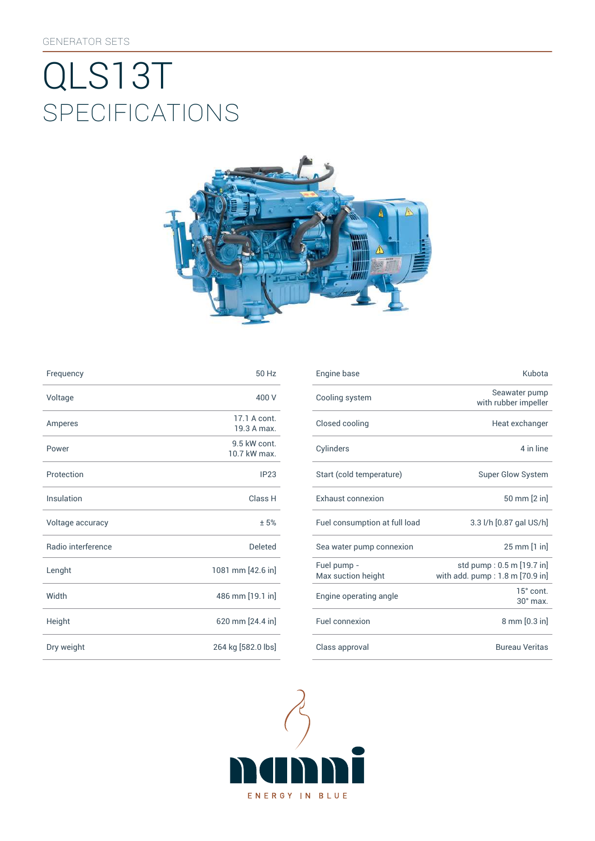# SpEcificATiONS QLS13T



| Frequency          | 50 Hz                        | Engine base                |
|--------------------|------------------------------|----------------------------|
| Voltage            | 400 V                        | Cooling syst               |
| Amperes            | 17.1 A cont.<br>19.3 A max.  | Closed cooli               |
| Power              | 9.5 kW cont.<br>10.7 kW max. | Cylinders                  |
| Protection         | IP23                         | Start (cold te             |
| Insulation         | Class H                      | Exhaust con                |
| Voltage accuracy   | ±5%                          | Fuel consum                |
| Radio interference | <b>Deleted</b>               | Sea water pu               |
| Lenght             | 1081 mm [42.6 in]            | Fuel pump -<br>Max suction |
| Width              | 486 mm [19.1 in]             | Engine opera               |
| Height             | 620 mm [24.4 in]             | Fuel connexi               |
| Dry weight         | 264 kg [582.0 lbs]           | Class approv               |

| Frequency          | 50 Hz                        | Engine base                       | Kubota                                                       |
|--------------------|------------------------------|-----------------------------------|--------------------------------------------------------------|
| Voltage            | 400 V                        | Cooling system                    | Seawater pump<br>with rubber impeller                        |
| Amperes            | 17.1 A cont.<br>19.3 A max.  | Closed cooling                    | Heat exchanger                                               |
| Power              | 9.5 kW cont.<br>10.7 kW max. | Cylinders                         | 4 in line                                                    |
| Protection         | IP23                         | Start (cold temperature)          | Super Glow System                                            |
| Insulation         | Class H                      | Exhaust connexion                 | 50 mm [2 in]                                                 |
| Voltage accuracy   | ±5%                          | Fuel consumption at full load     | 3.3 l/h [0.87 gal US/h]                                      |
| Radio interference | <b>Deleted</b>               | Sea water pump connexion          | 25 mm [1 in]                                                 |
| Lenght             | 1081 mm [42.6 in]            | Fuel pump -<br>Max suction height | std pump: 0.5 m [19.7 in]<br>with add. pump: 1.8 m [70.9 in] |
| Width              | 486 mm [19.1 in]             | Engine operating angle            | 15° cont.<br>$30^\circ$ max.                                 |
| Height             | 620 mm [24.4 in]             | Fuel connexion                    | 8 mm [0.3 in]                                                |
| Dry weight         | 264 kg [582.0 lbs]           | Class approval                    | <b>Bureau Veritas</b>                                        |